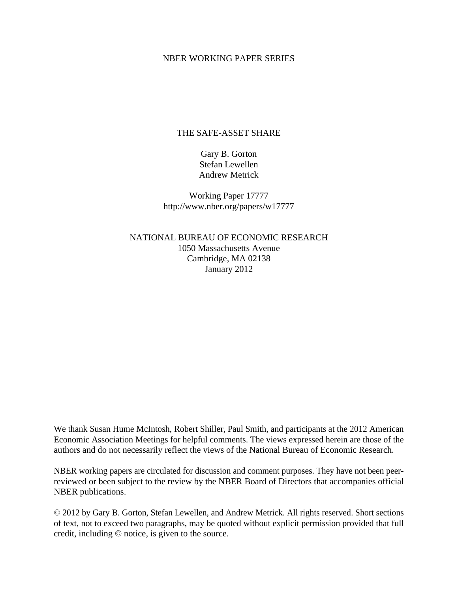# NBER WORKING PAPER SERIES

# THE SAFE-ASSET SHARE

Gary B. Gorton Stefan Lewellen Andrew Metrick

Working Paper 17777 http://www.nber.org/papers/w17777

NATIONAL BUREAU OF ECONOMIC RESEARCH 1050 Massachusetts Avenue Cambridge, MA 02138 January 2012

We thank Susan Hume McIntosh, Robert Shiller, Paul Smith, and participants at the 2012 American Economic Association Meetings for helpful comments. The views expressed herein are those of the authors and do not necessarily reflect the views of the National Bureau of Economic Research.

NBER working papers are circulated for discussion and comment purposes. They have not been peerreviewed or been subject to the review by the NBER Board of Directors that accompanies official NBER publications.

© 2012 by Gary B. Gorton, Stefan Lewellen, and Andrew Metrick. All rights reserved. Short sections of text, not to exceed two paragraphs, may be quoted without explicit permission provided that full credit, including © notice, is given to the source.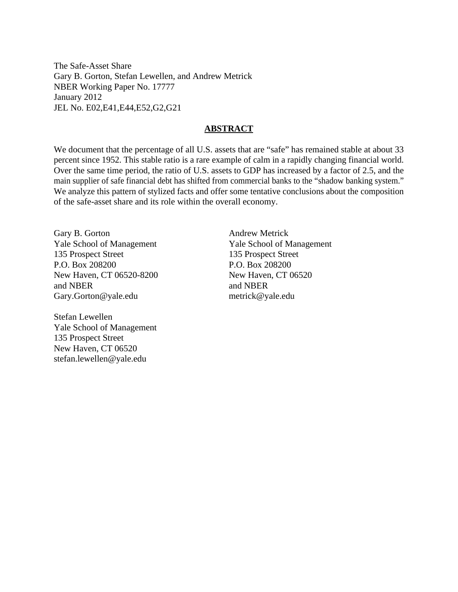The Safe-Asset Share Gary B. Gorton, Stefan Lewellen, and Andrew Metrick NBER Working Paper No. 17777 January 2012 JEL No. E02,E41,E44,E52,G2,G21

# **ABSTRACT**

We document that the percentage of all U.S. assets that are "safe" has remained stable at about 33 percent since 1952. This stable ratio is a rare example of calm in a rapidly changing financial world. Over the same time period, the ratio of U.S. assets to GDP has increased by a factor of 2.5, and the main supplier of safe financial debt has shifted from commercial banks to the "shadow banking system." We analyze this pattern of stylized facts and offer some tentative conclusions about the composition of the safe-asset share and its role within the overall economy.

Gary B. Gorton Yale School of Management 135 Prospect Street P.O. Box 208200 New Haven, CT 06520-8200 and NBER Gary.Gorton@yale.edu

Stefan Lewellen Yale School of Management 135 Prospect Street New Haven, CT 06520 stefan.lewellen@yale.edu

Andrew Metrick Yale School of Management 135 Prospect Street P.O. Box 208200 New Haven, CT 06520 and NBER metrick@yale.edu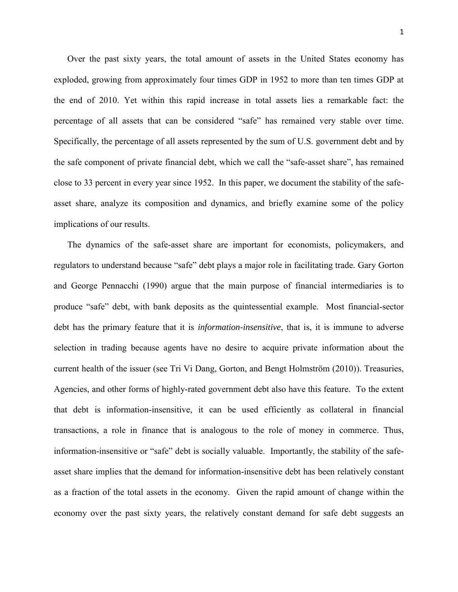Over the past sixty years, the total amount of assets in the United States economy has exploded, growing from approximately four times GDP in 1952 to more than ten times GDP at the end of 2010. Yet within this rapid increase in total assets lies a remarkable fact: the percentage of all assets that can be considered "safe" has remained very stable over time. Specifically, the percentage of all assets represented by the sum of U.S. government debt and by the safe component of private financial debt, which we call the "safe-asset share", has remained close to 33 percent in every year since 1952. In this paper, we document the stability of the safeasset share, analyze its composition and dynamics, and briefly examine some of the policy implications of our results.

The dynamics of the safe-asset share are important for economists, policymakers, and regulators to understand because "safe" debt plays a major role in facilitating trade. Gary Gorton and George Pennacchi (1990) argue that the main purpose of financial intermediaries is to produce "safe" debt, with bank deposits as the quintessential example. Most financial-sector debt has the primary feature that it is *information-insensitive*, that is, it is immune to adverse selection in trading because agents have no desire to acquire private information about the current health of the issuer (see Tri Vi Dang, Gorton, and Bengt Holmström (2010)). Treasuries, Agencies, and other forms of highly-rated government debt also have this feature. To the extent that debt is information-insensitive, it can be used efficiently as collateral in financial transactions, a role in finance that is analogous to the role of money in commerce. Thus, information-insensitive or "safe" debt is socially valuable. Importantly, the stability of the safeasset share implies that the demand for information-insensitive debt has been relatively constant as a fraction of the total assets in the economy. Given the rapid amount of change within the economy over the past sixty years, the relatively constant demand for safe debt suggests an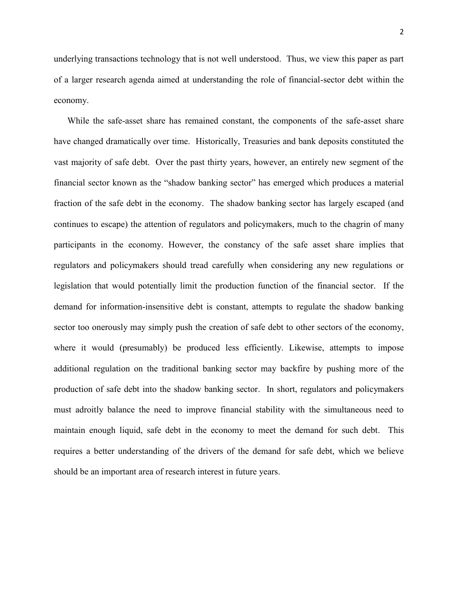underlying transactions technology that is not well understood. Thus, we view this paper as part of a larger research agenda aimed at understanding the role of financial-sector debt within the economy.

While the safe-asset share has remained constant, the components of the safe-asset share have changed dramatically over time. Historically, Treasuries and bank deposits constituted the vast majority of safe debt. Over the past thirty years, however, an entirely new segment of the financial sector known as the "shadow banking sector" has emerged which produces a material fraction of the safe debt in the economy. The shadow banking sector has largely escaped (and continues to escape) the attention of regulators and policymakers, much to the chagrin of many participants in the economy. However, the constancy of the safe asset share implies that regulators and policymakers should tread carefully when considering any new regulations or legislation that would potentially limit the production function of the financial sector. If the demand for information-insensitive debt is constant, attempts to regulate the shadow banking sector too onerously may simply push the creation of safe debt to other sectors of the economy, where it would (presumably) be produced less efficiently. Likewise, attempts to impose additional regulation on the traditional banking sector may backfire by pushing more of the production of safe debt into the shadow banking sector. In short, regulators and policymakers must adroitly balance the need to improve financial stability with the simultaneous need to maintain enough liquid, safe debt in the economy to meet the demand for such debt. This requires a better understanding of the drivers of the demand for safe debt, which we believe should be an important area of research interest in future years.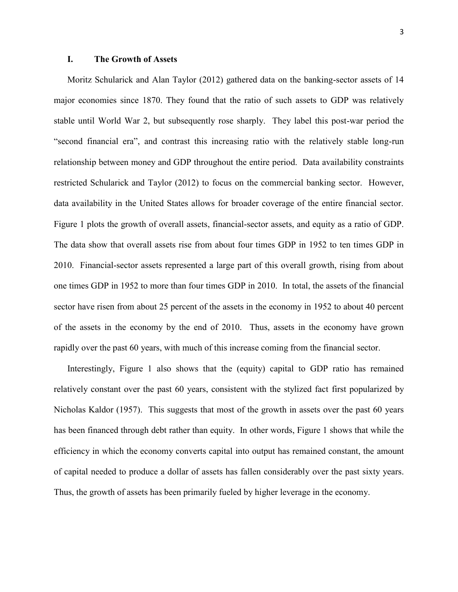## **I. The Growth of Assets**

Moritz Schularick and Alan Taylor (2012) gathered data on the banking-sector assets of 14 major economies since 1870. They found that the ratio of such assets to GDP was relatively stable until World War 2, but subsequently rose sharply. They label this post-war period the "second financial era", and contrast this increasing ratio with the relatively stable long-run relationship between money and GDP throughout the entire period. Data availability constraints restricted Schularick and Taylor (2012) to focus on the commercial banking sector. However, data availability in the United States allows for broader coverage of the entire financial sector. Figure 1 plots the growth of overall assets, financial-sector assets, and equity as a ratio of GDP. The data show that overall assets rise from about four times GDP in 1952 to ten times GDP in 2010. Financial-sector assets represented a large part of this overall growth, rising from about one times GDP in 1952 to more than four times GDP in 2010. In total, the assets of the financial sector have risen from about 25 percent of the assets in the economy in 1952 to about 40 percent of the assets in the economy by the end of 2010. Thus, assets in the economy have grown rapidly over the past 60 years, with much of this increase coming from the financial sector.

Interestingly, Figure 1 also shows that the (equity) capital to GDP ratio has remained relatively constant over the past 60 years, consistent with the stylized fact first popularized by Nicholas Kaldor (1957). This suggests that most of the growth in assets over the past 60 years has been financed through debt rather than equity. In other words, Figure 1 shows that while the efficiency in which the economy converts capital into output has remained constant, the amount of capital needed to produce a dollar of assets has fallen considerably over the past sixty years. Thus, the growth of assets has been primarily fueled by higher leverage in the economy.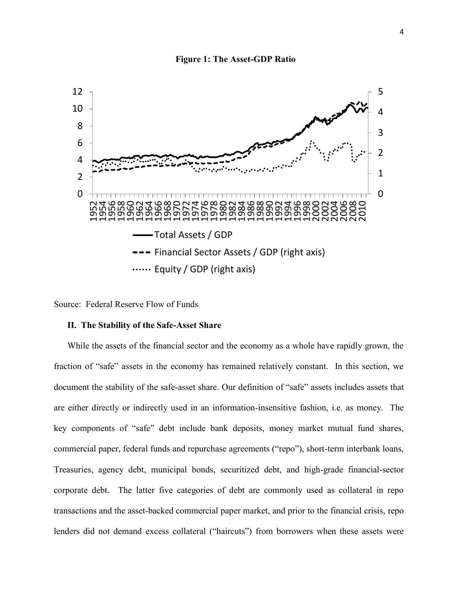



Source: Federal Reserve Flow of Funds

#### **II. The Stability of the Safe-Asset Share**

While the assets of the financial sector and the economy as a whole have rapidly grown, the fraction of "safe" assets in the economy has remained relatively constant. In this section, we document the stability of the safe-asset share. Our definition of "safe" assets includes assets that are either directly or indirectly used in an information-insensitive fashion, i.e. as money. The key components of "safe" debt include bank deposits, money market mutual fund shares, commercial paper, federal funds and repurchase agreements ("repo"), short-term interbank loans, Treasuries, agency debt, municipal bonds, securitized debt, and high-grade financial-sector corporate debt. The latter five categories of debt are commonly used as collateral in repo transactions and the asset-backed commercial paper market, and prior to the financial crisis, repo lenders did not demand excess collateral ("haircuts") from borrowers when these assets were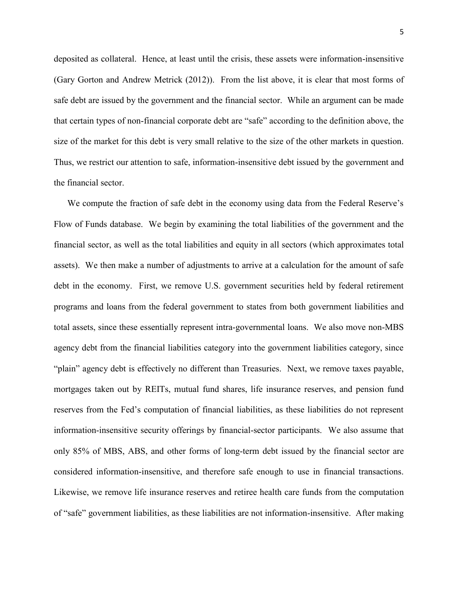deposited as collateral. Hence, at least until the crisis, these assets were information-insensitive (Gary Gorton and Andrew Metrick (2012)). From the list above, it is clear that most forms of safe debt are issued by the government and the financial sector. While an argument can be made that certain types of non-financial corporate debt are "safe" according to the definition above, the size of the market for this debt is very small relative to the size of the other markets in question. Thus, we restrict our attention to safe, information-insensitive debt issued by the government and the financial sector.

We compute the fraction of safe debt in the economy using data from the Federal Reserve's Flow of Funds database. We begin by examining the total liabilities of the government and the financial sector, as well as the total liabilities and equity in all sectors (which approximates total assets). We then make a number of adjustments to arrive at a calculation for the amount of safe debt in the economy. First, we remove U.S. government securities held by federal retirement programs and loans from the federal government to states from both government liabilities and total assets, since these essentially represent intra-governmental loans. We also move non-MBS agency debt from the financial liabilities category into the government liabilities category, since "plain" agency debt is effectively no different than Treasuries. Next, we remove taxes payable, mortgages taken out by REITs, mutual fund shares, life insurance reserves, and pension fund reserves from the Fed's computation of financial liabilities, as these liabilities do not represent information-insensitive security offerings by financial-sector participants. We also assume that only 85% of MBS, ABS, and other forms of long-term debt issued by the financial sector are considered information-insensitive, and therefore safe enough to use in financial transactions. Likewise, we remove life insurance reserves and retiree health care funds from the computation of "safe" government liabilities, as these liabilities are not information-insensitive. After making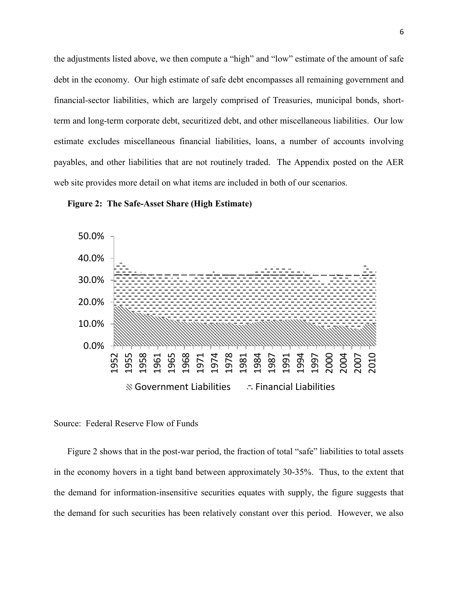the adjustments listed above, we then compute a "high" and "low" estimate of the amount of safe debt in the economy. Our high estimate of safe debt encompasses all remaining government and financial-sector liabilities, which are largely comprised of Treasuries, municipal bonds, shortterm and long-term corporate debt, securitized debt, and other miscellaneous liabilities. Our low estimate excludes miscellaneous financial liabilities, loans, a number of accounts involving payables, and other liabilities that are not routinely traded. The Appendix posted on the AER web site provides more detail on what items are included in both of our scenarios.





Source: Federal Reserve Flow of Funds

Figure 2 shows that in the post-war period, the fraction of total "safe" liabilities to total assets in the economy hovers in a tight band between approximately 30-35%. Thus, to the extent that the demand for information-insensitive securities equates with supply, the figure suggests that the demand for such securities has been relatively constant over this period. However, we also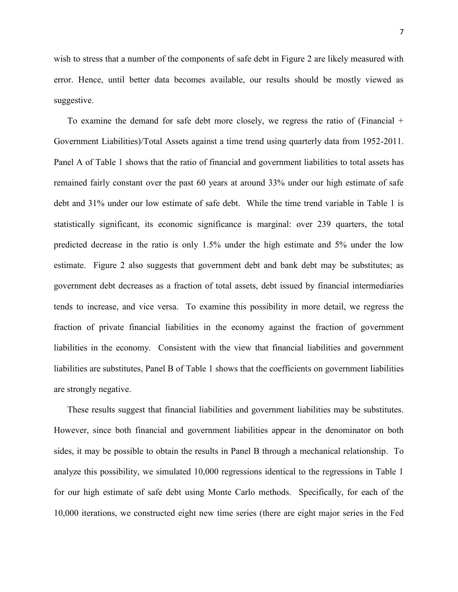7

wish to stress that a number of the components of safe debt in Figure 2 are likely measured with error. Hence, until better data becomes available, our results should be mostly viewed as suggestive.

To examine the demand for safe debt more closely, we regress the ratio of (Financial  $+$ Government Liabilities)/Total Assets against a time trend using quarterly data from 1952-2011. Panel A of Table 1 shows that the ratio of financial and government liabilities to total assets has remained fairly constant over the past 60 years at around 33% under our high estimate of safe debt and 31% under our low estimate of safe debt. While the time trend variable in Table 1 is statistically significant, its economic significance is marginal: over 239 quarters, the total predicted decrease in the ratio is only 1.5% under the high estimate and 5% under the low estimate. Figure 2 also suggests that government debt and bank debt may be substitutes; as government debt decreases as a fraction of total assets, debt issued by financial intermediaries tends to increase, and vice versa. To examine this possibility in more detail, we regress the fraction of private financial liabilities in the economy against the fraction of government liabilities in the economy. Consistent with the view that financial liabilities and government liabilities are substitutes, Panel B of Table 1 shows that the coefficients on government liabilities are strongly negative.

These results suggest that financial liabilities and government liabilities may be substitutes. However, since both financial and government liabilities appear in the denominator on both sides, it may be possible to obtain the results in Panel B through a mechanical relationship. To analyze this possibility, we simulated 10,000 regressions identical to the regressions in Table 1 for our high estimate of safe debt using Monte Carlo methods. Specifically, for each of the 10,000 iterations, we constructed eight new time series (there are eight major series in the Fed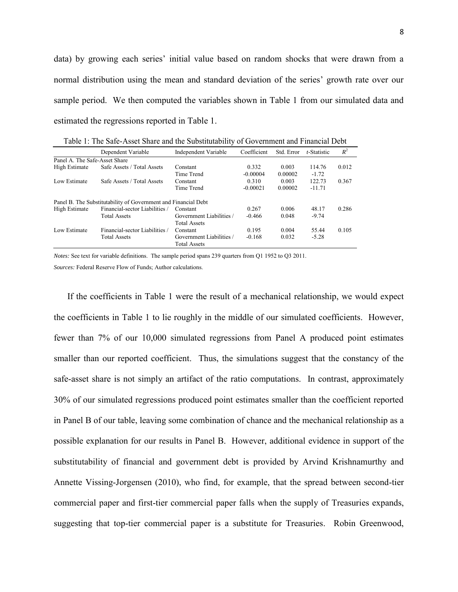data) by growing each series' initial value based on random shocks that were drawn from a normal distribution using the mean and standard deviation of the series' growth rate over our sample period. We then computed the variables shown in Table 1 from our simulated data and estimated the regressions reported in Table 1.

| ╯                             |                                                                |                                                 |             |            |             |       |  |
|-------------------------------|----------------------------------------------------------------|-------------------------------------------------|-------------|------------|-------------|-------|--|
|                               | Dependent Variable                                             | Independent Variable                            | Coefficient | Std. Error | t-Statistic | $R^2$ |  |
| Panel A. The Safe-Asset Share |                                                                |                                                 |             |            |             |       |  |
| High Estimate                 | Safe Assets / Total Assets                                     | Constant                                        | 0.332       | 0.003      | 114.76      | 0.012 |  |
|                               |                                                                | Time Trend                                      | $-0.00004$  | 0.00002    | $-1.72$     |       |  |
| Low Estimate                  | Safe Assets / Total Assets                                     | Constant                                        | 0.310       | 0.003      | 122.73      | 0.367 |  |
|                               |                                                                | Time Trend                                      | $-0.00021$  | 0.00002    | $-11.71$    |       |  |
|                               | Panel B. The Substitutability of Government and Financial Debt |                                                 |             |            |             |       |  |
| High Estimate                 | Financial-sector Liabilities /                                 | Constant                                        | 0.267       | 0.006      | 48.17       | 0.286 |  |
|                               | <b>Total Assets</b>                                            | Government Liabilities /                        | $-0.466$    | 0.048      | $-9.74$     |       |  |
|                               |                                                                | <b>Total Assets</b>                             |             |            |             |       |  |
| Low Estimate                  | Financial-sector Liabilities /                                 | Constant                                        | 0.195       | 0.004      | 55.44       | 0.105 |  |
|                               | <b>Total Assets</b>                                            | Government Liabilities /<br><b>Total Assets</b> | $-0.168$    | 0.032      | $-5.28$     |       |  |

Table 1: The Safe-Asset Share and the Substitutability of Government and Financial Debt

*Notes:* See text for variable definitions. The sample period spans 239 quarters from Q1 1952 to Q3 2011. *Sources:* Federal Reserve Flow of Funds; Author calculations.

If the coefficients in Table 1 were the result of a mechanical relationship, we would expect the coefficients in Table 1 to lie roughly in the middle of our simulated coefficients. However, fewer than 7% of our 10,000 simulated regressions from Panel A produced point estimates smaller than our reported coefficient. Thus, the simulations suggest that the constancy of the safe-asset share is not simply an artifact of the ratio computations. In contrast, approximately 30% of our simulated regressions produced point estimates smaller than the coefficient reported in Panel B of our table, leaving some combination of chance and the mechanical relationship as a possible explanation for our results in Panel B. However, additional evidence in support of the substitutability of financial and government debt is provided by Arvind Krishnamurthy and Annette Vissing-Jorgensen (2010), who find, for example, that the spread between second-tier commercial paper and first-tier commercial paper falls when the supply of Treasuries expands, suggesting that top-tier commercial paper is a substitute for Treasuries. Robin Greenwood,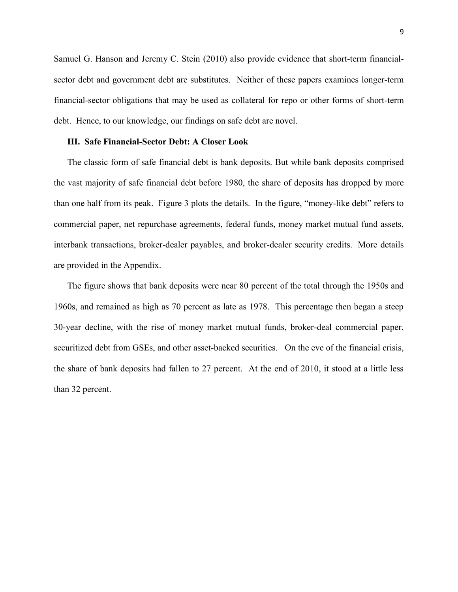Samuel G. Hanson and Jeremy C. Stein (2010) also provide evidence that short-term financialsector debt and government debt are substitutes. Neither of these papers examines longer-term financial-sector obligations that may be used as collateral for repo or other forms of short-term debt. Hence, to our knowledge, our findings on safe debt are novel.

### **III. Safe Financial-Sector Debt: A Closer Look**

The classic form of safe financial debt is bank deposits. But while bank deposits comprised the vast majority of safe financial debt before 1980, the share of deposits has dropped by more than one half from its peak. Figure 3 plots the details. In the figure, "money-like debt" refers to commercial paper, net repurchase agreements, federal funds, money market mutual fund assets, interbank transactions, broker-dealer payables, and broker-dealer security credits. More details are provided in the Appendix.

The figure shows that bank deposits were near 80 percent of the total through the 1950s and 1960s, and remained as high as 70 percent as late as 1978. This percentage then began a steep 30-year decline, with the rise of money market mutual funds, broker-deal commercial paper, securitized debt from GSEs, and other asset-backed securities. On the eve of the financial crisis, the share of bank deposits had fallen to 27 percent. At the end of 2010, it stood at a little less than 32 percent.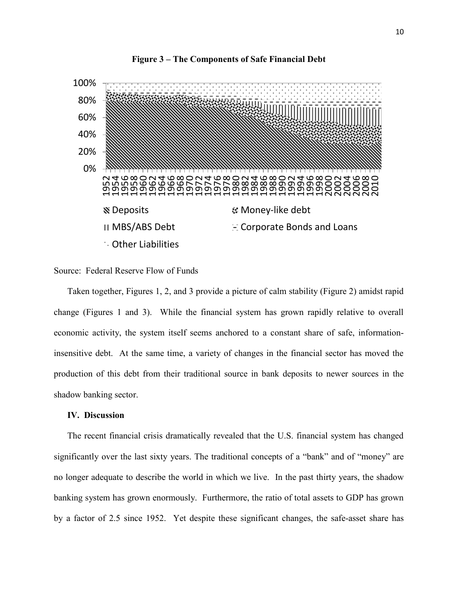

**Figure 3 – The Components of Safe Financial Debt**

### Source: Federal Reserve Flow of Funds

Taken together, Figures 1, 2, and 3 provide a picture of calm stability (Figure 2) amidst rapid change (Figures 1 and 3). While the financial system has grown rapidly relative to overall economic activity, the system itself seems anchored to a constant share of safe, informationinsensitive debt. At the same time, a variety of changes in the financial sector has moved the production of this debt from their traditional source in bank deposits to newer sources in the shadow banking sector.

# **IV. Discussion**

The recent financial crisis dramatically revealed that the U.S. financial system has changed significantly over the last sixty years. The traditional concepts of a "bank" and of "money" are no longer adequate to describe the world in which we live. In the past thirty years, the shadow banking system has grown enormously. Furthermore, the ratio of total assets to GDP has grown by a factor of 2.5 since 1952. Yet despite these significant changes, the safe-asset share has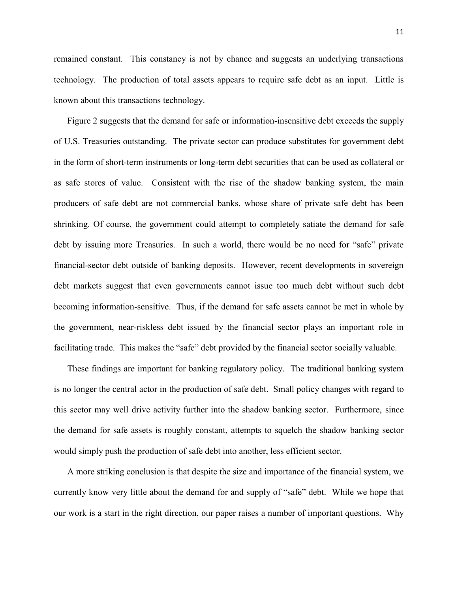remained constant. This constancy is not by chance and suggests an underlying transactions technology. The production of total assets appears to require safe debt as an input. Little is known about this transactions technology.

Figure 2 suggests that the demand for safe or information-insensitive debt exceeds the supply of U.S. Treasuries outstanding. The private sector can produce substitutes for government debt in the form of short-term instruments or long-term debt securities that can be used as collateral or as safe stores of value. Consistent with the rise of the shadow banking system, the main producers of safe debt are not commercial banks, whose share of private safe debt has been shrinking. Of course, the government could attempt to completely satiate the demand for safe debt by issuing more Treasuries. In such a world, there would be no need for "safe" private financial-sector debt outside of banking deposits. However, recent developments in sovereign debt markets suggest that even governments cannot issue too much debt without such debt becoming information-sensitive. Thus, if the demand for safe assets cannot be met in whole by the government, near-riskless debt issued by the financial sector plays an important role in facilitating trade. This makes the "safe" debt provided by the financial sector socially valuable.

These findings are important for banking regulatory policy. The traditional banking system is no longer the central actor in the production of safe debt. Small policy changes with regard to this sector may well drive activity further into the shadow banking sector. Furthermore, since the demand for safe assets is roughly constant, attempts to squelch the shadow banking sector would simply push the production of safe debt into another, less efficient sector.

A more striking conclusion is that despite the size and importance of the financial system, we currently know very little about the demand for and supply of "safe" debt. While we hope that our work is a start in the right direction, our paper raises a number of important questions. Why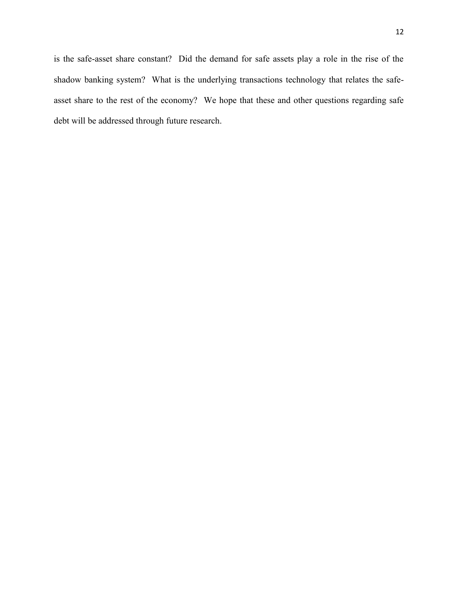is the safe-asset share constant? Did the demand for safe assets play a role in the rise of the shadow banking system? What is the underlying transactions technology that relates the safeasset share to the rest of the economy? We hope that these and other questions regarding safe debt will be addressed through future research.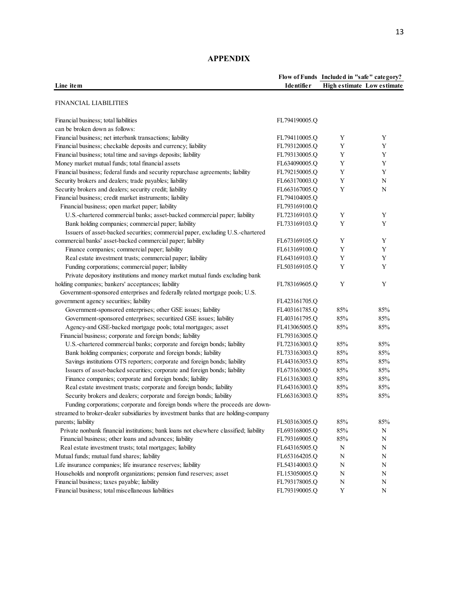# **APPENDIX**

| <b>APPENDIX</b>                                                                        |                   |                                            |             |  |  |
|----------------------------------------------------------------------------------------|-------------------|--------------------------------------------|-------------|--|--|
|                                                                                        |                   | Flow of Funds Included in "safe" category? |             |  |  |
| Line item                                                                              | <b>Identifier</b> | <b>High estimate Low estimate</b>          |             |  |  |
| <b>FINANCIAL LIABILITIES</b>                                                           |                   |                                            |             |  |  |
| Financial business; total liabilities                                                  | FL794190005.Q     |                                            |             |  |  |
| can be broken down as follows:                                                         |                   |                                            |             |  |  |
| Financial business; net interbank transactions; liability                              | FL794110005.Q     | Y                                          | Y           |  |  |
| Financial business; checkable deposits and currency; liability                         | FL793120005.Q     | Y                                          | Y           |  |  |
| Financial business; total time and savings deposits; liability                         | FL793130005.Q     | Y                                          | Y           |  |  |
| Money market mutual funds; total financial assets                                      | FL634090005.Q     | Y                                          | Y           |  |  |
| Financial business; federal funds and security repurchase agreements; liability        | FL792150005.Q     | Y                                          | Y           |  |  |
| Security brokers and dealers; trade payables; liability                                | FL663170003.Q     | Y                                          | ${\bf N}$   |  |  |
| Security brokers and dealers; security credit; liability                               | FL663167005.Q     | Y                                          | $\mathbf N$ |  |  |
| Financial business; credit market instruments; liability                               | FL794104005.Q     |                                            |             |  |  |
| Financial business; open market paper; liability                                       | FL793169100.Q     |                                            |             |  |  |
| U.S.-chartered commercial banks; asset-backed commercial paper; liability              | FL723169103.Q     | Y                                          | Y           |  |  |
| Bank holding companies; commercial paper; liability                                    | FL733169103.Q     | Y                                          | Y           |  |  |
| Issuers of asset-backed securities; commercial paper, excluding U.S.-chartered         |                   |                                            |             |  |  |
| commercial banks' asset-backed commercial paper; liability                             | FL673169105.Q     | Y                                          | Y           |  |  |
| Finance companies; commercial paper; liability                                         | FL613169100.Q     | Y                                          | Y           |  |  |
| Real estate investment trusts; commercial paper; liability                             | FL643169103.Q     | Y                                          | Y           |  |  |
| Funding corporations; commercial paper; liability                                      | FL503169105.Q     | Y                                          | Y           |  |  |
| Private depository institutions and money market mutual funds excluding bank           |                   |                                            |             |  |  |
| holding companies; bankers' acceptances; liability                                     | FL783169605.Q     | Y                                          | Y           |  |  |
| Government-sponsored enterprises and federally related mortgage pools; U.S.            |                   |                                            |             |  |  |
| government agency securities; liability                                                | FL423161705.Q     |                                            |             |  |  |
| Government-sponsored enterprises; other GSE issues; liability                          | FL403161785.Q     | 85%                                        | 85%         |  |  |
| Government-sponsored enterprises; securitized GSE issues; liability                    | FL403161795.Q     | 85%                                        | 85%         |  |  |
| Agency-and GSE-backed mortgage pools; total mortgages; asset                           | FL413065005.Q     | 85%                                        | 85%         |  |  |
| Financial business; corporate and foreign bonds; liability                             | FL793163005.Q     |                                            |             |  |  |
| U.S.-chartered commercial banks; corporate and foreign bonds; liability                | FL723163003.Q     | 85%                                        | 85%         |  |  |
| Bank holding companies; corporate and foreign bonds; liability                         | FL733163003.Q     | 85%                                        | 85%         |  |  |
| Savings institutions OTS reporters; corporate and foreign bonds; liability             | FL443163053.Q     | 85%                                        | 85%         |  |  |
| Issuers of asset-backed securities; corporate and foreign bonds; liability             | FL673163005.Q     | 85%                                        | 85%         |  |  |
| Finance companies; corporate and foreign bonds; liability                              | FL613163003.Q     | 85%                                        | 85%         |  |  |
| Real estate investment trusts; corporate and foreign bonds; liability                  | FL643163003.Q     | 85%                                        | 85%         |  |  |
| Security brokers and dealers; corporate and foreign bonds; liability                   | FL663163003.Q     | 85%                                        | 85%         |  |  |
| Funding corporations; corporate and foreign bonds where the proceeds are down-         |                   |                                            |             |  |  |
| streamed to broker-dealer subsidiaries by investment banks that are holding-company    |                   |                                            |             |  |  |
| parents; liability                                                                     | FL503163005.O     | 85%                                        | 85%         |  |  |
| Private nonbank financial institutions; bank loans not elsewhere classified; liability | FL693168005.Q     | 85%                                        | N           |  |  |
| Financial business; other loans and advances; liability                                | FL793169005.Q     | 85%                                        | N           |  |  |
| Real estate investment trusts; total mortgages; liability                              | FL643165005.Q     | N                                          | N           |  |  |
| Mutual funds; mutual fund shares; liability                                            | FL653164205.Q     | N                                          | N           |  |  |
| Life insurance companies; life insurance reserves; liability                           | FL543140003.Q     | N                                          | N           |  |  |
| Households and nonprofit organizations; pension fund reserves; asset                   | FL153050005.Q     | N                                          | N           |  |  |
| Financial business; taxes payable; liability                                           | FL793178005.Q     | N                                          | N           |  |  |
|                                                                                        |                   |                                            |             |  |  |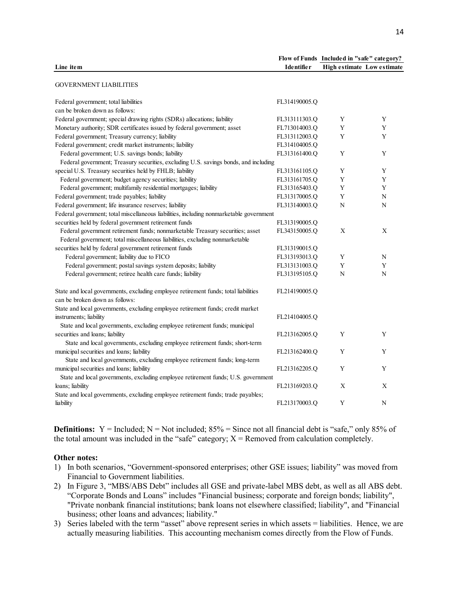# **Flow of Funds Included in "safe" category?14**<br> **Elow of Funds**<br> **<u>Included in "safe" category?</u><br>
<b>Identifier** High estimate Low estimate

#### GOVERNMENT LIABILITIES

| <b>GOVERNMENT LIABILITIES</b>                                                                                             |               |             |             |
|---------------------------------------------------------------------------------------------------------------------------|---------------|-------------|-------------|
| Federal government; total liabilities<br>can be broken down as follows:                                                   | FL314190005.Q |             |             |
| Federal government; special drawing rights (SDRs) allocations; liability                                                  | FL313111303.Q | Y           | $\mathbf Y$ |
| Monetary authority; SDR certificates issued by federal government; asset                                                  | FL713014003.Q | Y           | Y           |
| Federal government; Treasury currency; liability                                                                          | FL313112003.Q | Y           | Y           |
| Federal government; credit market instruments; liability                                                                  | FL314104005.Q |             |             |
| Federal government; U.S. savings bonds; liability                                                                         | FL313161400.Q | Y           | Y           |
| Federal government; Treasury securities, excluding U.S. savings bonds, and including                                      |               |             |             |
| special U.S. Treasury securities held by FHLB; liability                                                                  | FL313161105.Q | Y           | Y           |
| Federal government; budget agency securities; liability                                                                   | FL313161705.Q | Y           | Y           |
| Federal government; multifamily residential mortgages; liability                                                          | FL313165403.O | Y           | $\mathbf Y$ |
| Federal government; trade payables; liability                                                                             | FL313170005.Q | Y           | N           |
| Federal government; life insurance reserves; liability                                                                    | FL313140003.Q | N           | N           |
| Federal government; total miscellaneous liabilities, including nonmarketable government                                   |               |             |             |
| securities held by federal government retirement funds                                                                    | FL313190005.Q |             |             |
| Federal government retirement funds; nonmarketable Treasury securities; asset                                             | FL343150005.Q | $\mathbf X$ | X           |
| Federal government; total miscellaneous liabilities, excluding nonmarketable                                              |               |             |             |
| securities held by federal government retirement funds                                                                    | FL313190015.Q |             |             |
| Federal government; liability due to FICO                                                                                 | FL313193013.Q | Y           | N           |
| Federal government; postal savings system deposits; liability                                                             | FL313131003.Q | Y           | Y           |
| Federal government; retiree health care funds; liability                                                                  | FL313195105.Q | N           | N           |
| State and local governments, excluding employee retirement funds; total liabilities<br>can be broken down as follows:     | FL214190005.Q |             |             |
| State and local governments, excluding employee retirement funds; credit market                                           |               |             |             |
| instruments; liability                                                                                                    | FL214104005.Q |             |             |
| State and local governments, excluding employee retirement funds; municipal                                               |               | Y           | Y           |
| securities and loans; liability                                                                                           | FL213162005.Q |             |             |
| State and local governments, excluding employee retirement funds; short-term<br>municipal securities and loans; liability |               | Y           | Y           |
| State and local governments, excluding employee retirement funds; long-term                                               | FL213162400.Q |             |             |
| municipal securities and loans; liability                                                                                 |               | Y           | Y           |
| State and local governments, excluding employee retirement funds; U.S. government                                         | FL213162205.Q |             |             |
| loans; liability                                                                                                          | FL213169203.Q | X           | X           |
| State and local governments, excluding employee retirement funds; trade payables;                                         |               |             |             |
| liability                                                                                                                 | FL213170003.Q | Y           | N           |
|                                                                                                                           |               |             |             |
|                                                                                                                           |               |             |             |

**Definitions:**  $Y = \text{included}$ ;  $N = \text{Not included}$ ;  $85\% = \text{Since not all financial debt is "safe," only 85% of}$ the total amount was included in the "safe" category;  $X =$ Removed from calculation completely.

#### **Other notes:**

- 1) In both scenarios, "Government-sponsored enterprises; other GSE issues; liability" was moved from Financial to Government liabilities.
- 2) In Figure 3, "MBS/ABS Debt" includes all GSE and private-label MBS debt, as well as all ABS debt. "Corporate Bonds and Loans" includes "Financial business; corporate and foreign bonds; liability", "Private nonbank financial institutions; bank loans not elsewhere classified; liability", and "Financial business; other loans and advances; liability."
- 3) Series labeled with the term "asset" above represent series in which assets = liabilities. Hence, we are actually measuring liabilities. This accounting mechanism comes directly from the Flow of Funds.